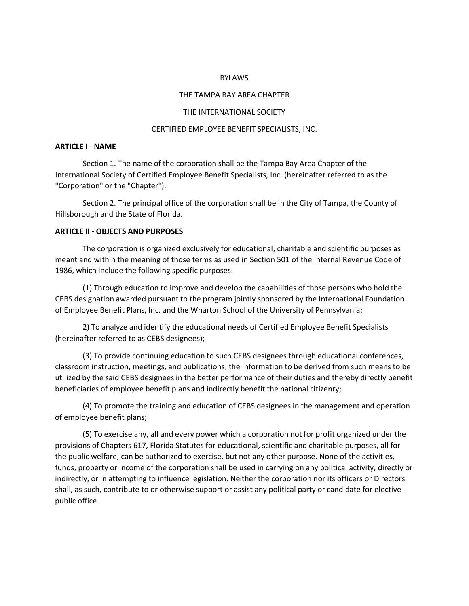### BYLAWS

#### THE TAMPA BAY AREA CHAPTER

#### THE INTERNATIONAL SOCIETY

#### CERTIFIED EMPLOYEE BENEFIT SPECIALISTS, INC.

## **ARTICLE I - NAME**

Section 1. The name of the corporation shall be the Tampa Bay Area Chapter of the International Society of Certified Employee Benefit Specialists, Inc. (hereinafter referred to as the "Corporation" or the "Chapter").

Section 2. The principal office of the corporation shall be in the City of Tampa, the County of Hillsborough and the State of Florida.

## **ARTICLE II - OBJECTS AND PURPOSES**

The corporation is organized exclusively for educational, charitable and scientific purposes as meant and within the meaning of those terms as used in Section 501 of the Internal Revenue Code of 1986, which include the following specific purposes.

(1) Through education to improve and develop the capabilities of those persons who hold the CEBS designation awarded pursuant to the program jointly sponsored by the International Foundation of Employee Benefit Plans, Inc. and the Wharton School of the University of Pennsylvania;

2) To analyze and identify the educational needs of Certified Employee Benefit Specialists (hereinafter referred to as CEBS designees);

(3) To provide continuing education to such CEBS designees through educational conferences, classroom instruction, meetings, and publications; the information to be derived from such means to be utilized by the said CEBS designees in the better performance of their duties and thereby directly benefit beneficiaries of employee benefit plans and indirectly benefit the national citizenry;

(4) To promote the training and education of CEBS designees in the management and operation of employee benefit plans;

(5) To exercise any, all and every power which a corporation not for profit organized under the provisions of Chapters 617, Florida Statutes for educational, scientific and charitable purposes, all for the public welfare, can be authorized to exercise, but not any other purpose. None of the activities, funds, property or income of the corporation shall be used in carrying on any political activity, directly or indirectly, or in attempting to influence legislation. Neither the corporation nor its officers or Directors shall, as such, contribute to or otherwise support or assist any political party or candidate for elective public office.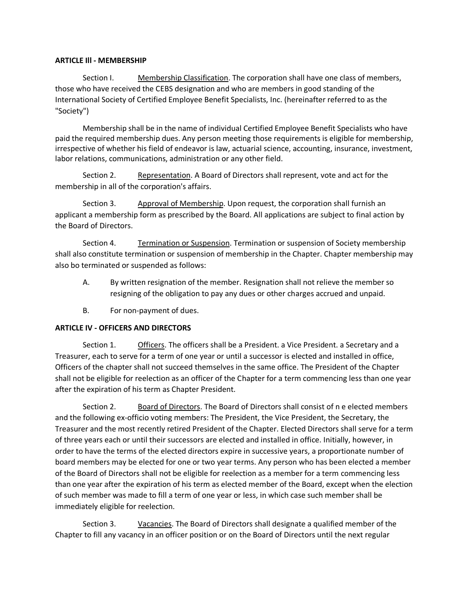## **ARTICLE Ill - MEMBERSHIP**

Section I. Membership Classification. The corporation shall have one class of members, those who have received the CEBS designation and who are members in good standing of the International Society of Certified Employee Benefit Specialists, Inc. (hereinafter referred to as the "Society")

Membership shall be in the name of individual Certified Employee Benefit Specialists who have paid the required membership dues. Any person meeting those requirements is eligible for membership, irrespective of whether his field of endeavor is law, actuarial science, accounting, insurance, investment, labor relations, communications, administration or any other field.

Section 2. Representation. A Board of Directors shall represent, vote and act for the membership in all of the corporation's affairs.

Section 3. Approval of Membership. Upon request, the corporation shall furnish an applicant a membership form as prescribed by the Board. All applications are subject to final action by the Board of Directors.

Section 4. Termination or Suspension. Termination or suspension of Society membership shall also constitute termination or suspension of membership in the Chapter. Chapter membership may also bo terminated or suspended as follows:

- A. By written resignation of the member. Resignation shall not relieve the member so resigning of the obligation to pay any dues or other charges accrued and unpaid.
- B. For non-payment of dues.

# **ARTICLE IV - OFFICERS AND DIRECTORS**

Section 1. Officers. The officers shall be a President. a Vice President. a Secretary and a Treasurer, each to serve for a term of one year or until a successor is elected and installed in office, Officers of the chapter shall not succeed themselves in the same office. The President of the Chapter shall not be eligible for reelection as an officer of the Chapter for a term commencing less than one year after the expiration of his term as Chapter President.

Section 2. Board of Directors. The Board of Directors shall consist of n e elected members and the following ex-officio voting members: The President, the Vice President, the Secretary, the Treasurer and the most recently retired President of the Chapter. Elected Directors shall serve for a term of three years each or until their successors are elected and installed in office. Initially, however, in order to have the terms of the elected directors expire in successive years, a proportionate number of board members may be elected for one or two year terms. Any person who has been elected a member of the Board of Directors shall not be eligible for reelection as a member for a term commencing less than one year after the expiration of his term as elected member of the Board, except when the election of such member was made to fill a term of one year or less, in which case such member shall be immediately eligible for reelection.

Section 3. Vacancies. The Board of Directors shall designate a qualified member of the Chapter to fill any vacancy in an officer position or on the Board of Directors until the next regular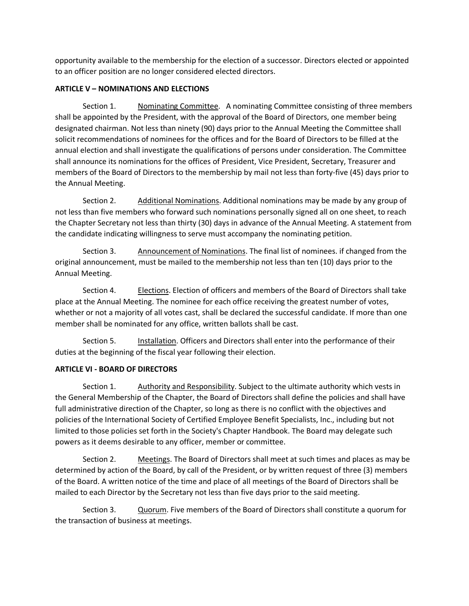opportunity available to the membership for the election of a successor. Directors elected or appointed to an officer position are no longer considered elected directors.

# **ARTICLE V – NOMINATIONS AND ELECTIONS**

Section 1. Nominating Committee. A nominating Committee consisting of three members shall be appointed by the President, with the approval of the Board of Directors, one member being designated chairman. Not less than ninety (90) days prior to the Annual Meeting the Committee shall solicit recommendations of nominees for the offices and for the Board of Directors to be filled at the annual election and shall investigate the qualifications of persons under consideration. The Committee shall announce its nominations for the offices of President, Vice President, Secretary, Treasurer and members of the Board of Directors to the membership by mail not less than forty-five (45) days prior to the Annual Meeting.

Section 2. Additional Nominations. Additional nominations may be made by any group of not less than five members who forward such nominations personally signed all on one sheet, to reach the Chapter Secretary not less than thirty (30) days in advance of the Annual Meeting. A statement from the candidate indicating willingness to serve must accompany the nominating petition.

Section 3. Announcement of Nominations. The final list of nominees. if changed from the original announcement, must be mailed to the membership not less than ten (10) days prior to the Annual Meeting.

Section 4. **Elections.** Election of officers and members of the Board of Directors shall take place at the Annual Meeting. The nominee for each office receiving the greatest number of votes, whether or not a majority of all votes cast, shall be declared the successful candidate. If more than one member shall be nominated for any office, written ballots shall be cast.

Section 5. Installation. Officers and Directors shall enter into the performance of their duties at the beginning of the fiscal year following their election.

# **ARTICLE VI - BOARD OF DIRECTORS**

Section 1. Authority and Responsibility. Subject to the ultimate authority which vests in the General Membership of the Chapter, the Board of Directors shall define the policies and shall have full administrative direction of the Chapter, so long as there is no conflict with the objectives and policies of the International Society of Certified Employee Benefit Specialists, Inc., including but not limited to those policies set forth in the Society's Chapter Handbook. The Board may delegate such powers as it deems desirable to any officer, member or committee.

Section 2. Meetings. The Board of Directors shall meet at such times and places as may be determined by action of the Board, by call of the President, or by written request of three (3) members of the Board. A written notice of the time and place of all meetings of the Board of Directors shall be mailed to each Director by the Secretary not less than five days prior to the said meeting.

Section 3. Quorum. Five members of the Board of Directors shall constitute a quorum for the transaction of business at meetings.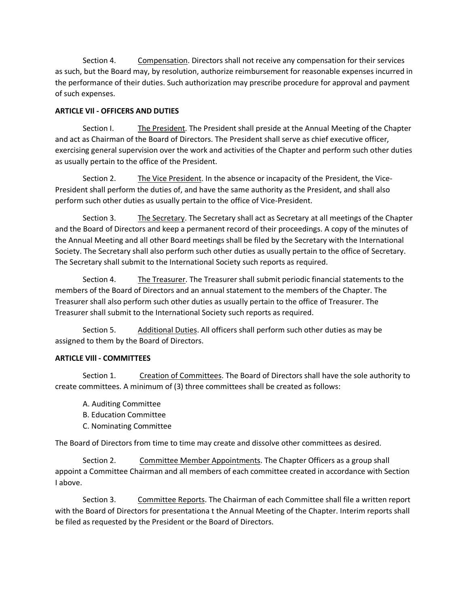Section 4. Compensation. Directors shall not receive any compensation for their services as such, but the Board may, by resolution, authorize reimbursement for reasonable expenses incurred in the performance of their duties. Such authorization may prescribe procedure for approval and payment of such expenses.

# **ARTICLE VIl - OFFICERS AND DUTIES**

Section I. The President. The President shall preside at the Annual Meeting of the Chapter and act as Chairman of the Board of Directors. The President shall serve as chief executive officer, exercising general supervision over the work and activities of the Chapter and perform such other duties as usually pertain to the office of the President.

Section 2. The Vice President. In the absence or incapacity of the President, the Vice-President shall perform the duties of, and have the same authority as the President, and shall also perform such other duties as usually pertain to the office of Vice-President.

Section 3. The Secretary. The Secretary shall act as Secretary at all meetings of the Chapter and the Board of Directors and keep a permanent record of their proceedings. A copy of the minutes of the Annual Meeting and all other Board meetings shall be filed by the Secretary with the International Society. The Secretary shall also perform such other duties as usually pertain to the office of Secretary. The Secretary shall submit to the International Society such reports as required.

Section 4. The Treasurer. The Treasurer shall submit periodic financial statements to the members of the Board of Directors and an annual statement to the members of the Chapter. The Treasurer shall also perform such other duties as usually pertain to the office of Treasurer. The Treasurer shall submit to the International Society such reports as required.

Section 5. Additional Duties. All officers shall perform such other duties as may be assigned to them by the Board of Directors.

# **ARTICLE VIll - COMMITTEES**

Section 1. Creation of Committees. The Board of Directors shall have the sole authority to create committees. A minimum of (3) three committees shall be created as follows:

- A. Auditing Committee
- B. Education Committee
- C. Nominating Committee

The Board of Directors from time to time may create and dissolve other committees as desired.

Section 2. Committee Member Appointments. The Chapter Officers as a group shall appoint a Committee Chairman and all members of each committee created in accordance with Section I above.

Section 3. Committee Reports. The Chairman of each Committee shall file a written report with the Board of Directors for presentationa t the Annual Meeting of the Chapter. Interim reports shall be filed as requested by the President or the Board of Directors.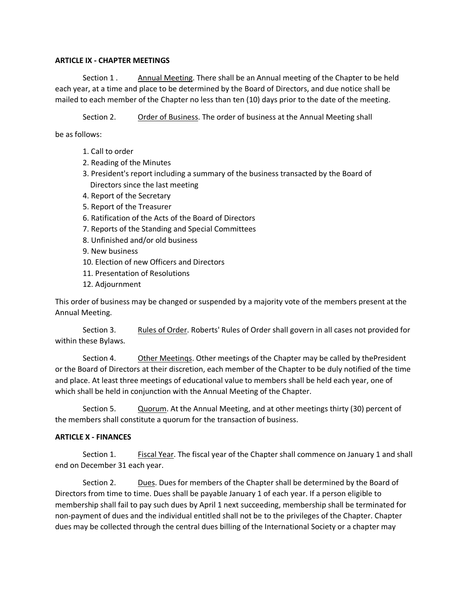## **ARTICLE IX - CHAPTER MEETINGS**

Section 1 . Annual Meeting. There shall be an Annual meeting of the Chapter to be held each year, at a time and place to be determined by the Board of Directors, and due notice shall be mailed to each member of the Chapter no less than ten (10) days prior to the date of the meeting.

Section 2. Order of Business. The order of business at the Annual Meeting shall

be as follows:

- 1. Call to order
- 2. Reading of the Minutes
- 3. President's report including a summary of the business transacted by the Board of Directors since the last meeting
- 4. Report of the Secretary
- 5. Report of the Treasurer
- 6. Ratification of the Acts of the Board of Directors
- 7. Reports of the Standing and Special Committees
- 8. Unfinished and/or old business
- 9. New business
- 10. Election of new Officers and Directors
- 11. Presentation of Resolutions
- 12. Adjournment

This order of business may be changed or suspended by a majority vote of the members present at the Annual Meeting.

Section 3. Rules of Order. Roberts' Rules of Order shall govern in all cases not provided for within these Bylaws.

Section 4. Other Meetinqs. Other meetings of the Chapter may be called by thePresident or the Board of Directors at their discretion, each member of the Chapter to be duly notified of the time and place. At least three meetings of educational value to members shall be held each year, one of which shall be held in conjunction with the Annual Meeting of the Chapter.

Section 5. Quorum. At the Annual Meeting, and at other meetings thirty (30) percent of the members shall constitute a quorum for the transaction of business.

### **ARTICLE X - FINANCES**

Section 1. Fiscal Year. The fiscal year of the Chapter shall commence on January 1 and shall end on December 31 each year.

Section 2. Dues. Dues for members of the Chapter shall be determined by the Board of Directors from time to time. Dues shall be payable January 1 of each year. If a person eligible to membership shall fail to pay such dues by April 1 next succeeding, membership shall be terminated for non-payment of dues and the individual entitled shall not be to the privileges of the Chapter. Chapter dues may be collected through the central dues billing of the International Society or a chapter may